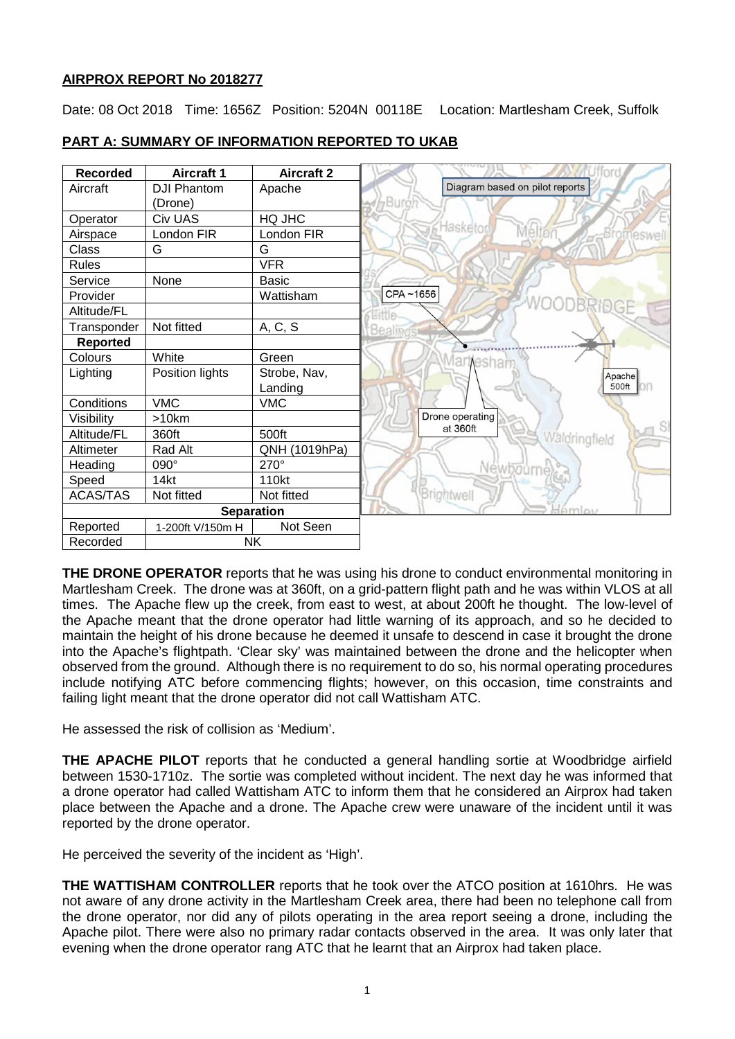# **AIRPROX REPORT No 2018277**

Date: 08 Oct 2018 Time: 1656Z Position: 5204N 00118E Location: Martlesham Creek, Suffolk



# **PART A: SUMMARY OF INFORMATION REPORTED TO UKAB**

**THE DRONE OPERATOR** reports that he was using his drone to conduct environmental monitoring in Martlesham Creek. The drone was at 360ft, on a grid-pattern flight path and he was within VLOS at all times. The Apache flew up the creek, from east to west, at about 200ft he thought. The low-level of the Apache meant that the drone operator had little warning of its approach, and so he decided to maintain the height of his drone because he deemed it unsafe to descend in case it brought the drone into the Apache's flightpath. 'Clear sky' was maintained between the drone and the helicopter when observed from the ground. Although there is no requirement to do so, his normal operating procedures include notifying ATC before commencing flights; however, on this occasion, time constraints and failing light meant that the drone operator did not call Wattisham ATC.

He assessed the risk of collision as 'Medium'.

**THE APACHE PILOT** reports that he conducted a general handling sortie at Woodbridge airfield between 1530-1710z. The sortie was completed without incident. The next day he was informed that a drone operator had called Wattisham ATC to inform them that he considered an Airprox had taken place between the Apache and a drone. The Apache crew were unaware of the incident until it was reported by the drone operator.

He perceived the severity of the incident as 'High'.

**THE WATTISHAM CONTROLLER** reports that he took over the ATCO position at 1610hrs. He was not aware of any drone activity in the Martlesham Creek area, there had been no telephone call from the drone operator, nor did any of pilots operating in the area report seeing a drone, including the Apache pilot. There were also no primary radar contacts observed in the area. It was only later that evening when the drone operator rang ATC that he learnt that an Airprox had taken place.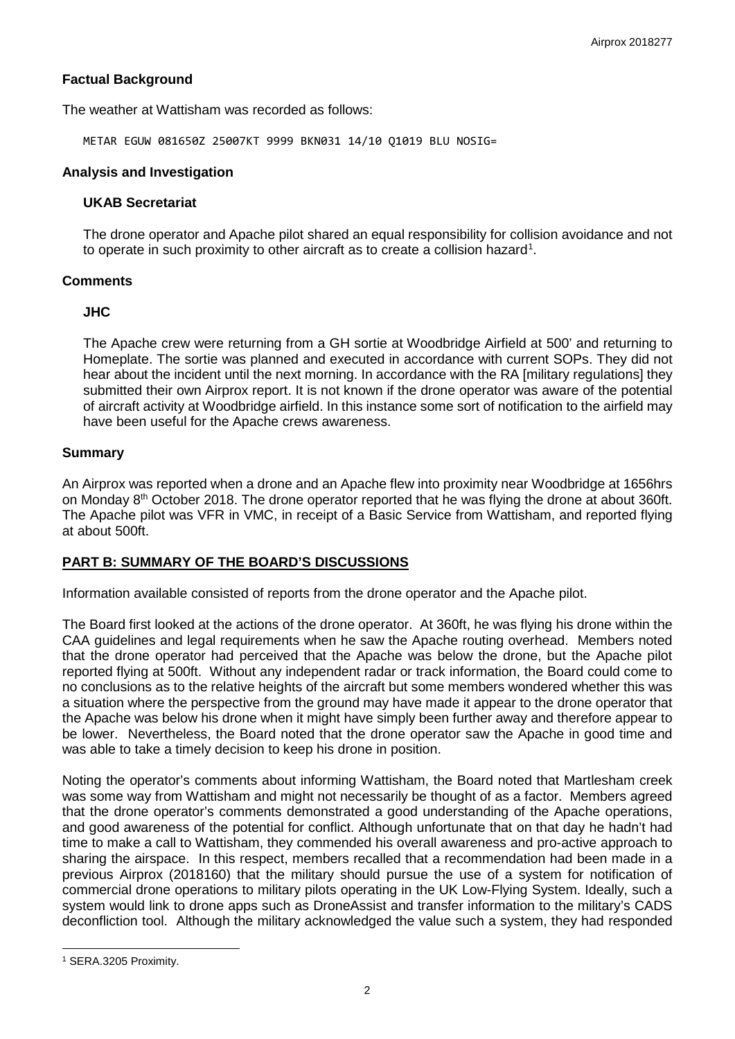# **Factual Background**

The weather at Wattisham was recorded as follows:

METAR EGUW 081650Z 25007KT 9999 BKN031 14/10 Q1019 BLU NOSIG=

#### **Analysis and Investigation**

#### **UKAB Secretariat**

The drone operator and Apache pilot shared an equal responsibility for collision avoidance and not to operate in such proximity to other aircraft as to create a collision hazard<sup>[1](#page-1-0)</sup>.

#### **Comments**

## **JHC**

The Apache crew were returning from a GH sortie at Woodbridge Airfield at 500' and returning to Homeplate. The sortie was planned and executed in accordance with current SOPs. They did not hear about the incident until the next morning. In accordance with the RA [military regulations] they submitted their own Airprox report. It is not known if the drone operator was aware of the potential of aircraft activity at Woodbridge airfield. In this instance some sort of notification to the airfield may have been useful for the Apache crews awareness.

## **Summary**

An Airprox was reported when a drone and an Apache flew into proximity near Woodbridge at 1656hrs on Monday 8<sup>th</sup> October 2018. The drone operator reported that he was flying the drone at about 360ft. The Apache pilot was VFR in VMC, in receipt of a Basic Service from Wattisham, and reported flying at about 500ft.

# **PART B: SUMMARY OF THE BOARD'S DISCUSSIONS**

Information available consisted of reports from the drone operator and the Apache pilot.

The Board first looked at the actions of the drone operator. At 360ft, he was flying his drone within the CAA guidelines and legal requirements when he saw the Apache routing overhead. Members noted that the drone operator had perceived that the Apache was below the drone, but the Apache pilot reported flying at 500ft. Without any independent radar or track information, the Board could come to no conclusions as to the relative heights of the aircraft but some members wondered whether this was a situation where the perspective from the ground may have made it appear to the drone operator that the Apache was below his drone when it might have simply been further away and therefore appear to be lower. Nevertheless, the Board noted that the drone operator saw the Apache in good time and was able to take a timely decision to keep his drone in position.

Noting the operator's comments about informing Wattisham, the Board noted that Martlesham creek was some way from Wattisham and might not necessarily be thought of as a factor. Members agreed that the drone operator's comments demonstrated a good understanding of the Apache operations, and good awareness of the potential for conflict. Although unfortunate that on that day he hadn't had time to make a call to Wattisham, they commended his overall awareness and pro-active approach to sharing the airspace. In this respect, members recalled that a recommendation had been made in a previous Airprox (2018160) that the military should pursue the use of a system for notification of commercial drone operations to military pilots operating in the UK Low-Flying System. Ideally, such a system would link to drone apps such as DroneAssist and transfer information to the military's CADS deconfliction tool. Although the military acknowledged the value such a system, they had responded

 $\overline{\phantom{a}}$ 

<span id="page-1-0"></span><sup>1</sup> SERA.3205 Proximity.